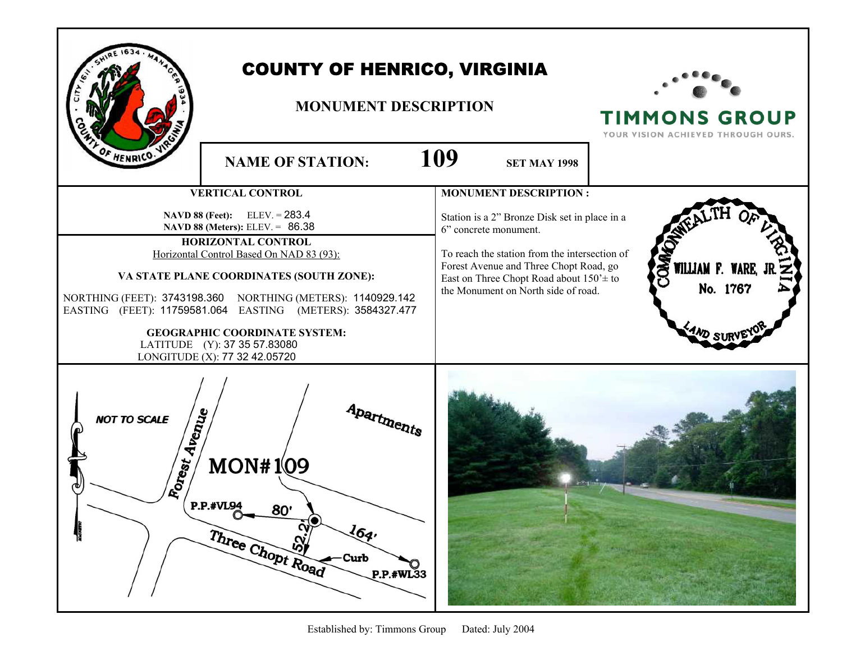|                                      | <b>COUNTY OF HENRICO, VIRGINIA</b><br><b>MONUMENT DESCRIPTION</b>                                                                                                                                                                                                                                                                                                                                                                               |                                                                                                                                                                                                                                                                                          | <b>TIMMONS GROUP</b><br>YOUR VISION ACHIEVED THROUGH OURS. |
|--------------------------------------|-------------------------------------------------------------------------------------------------------------------------------------------------------------------------------------------------------------------------------------------------------------------------------------------------------------------------------------------------------------------------------------------------------------------------------------------------|------------------------------------------------------------------------------------------------------------------------------------------------------------------------------------------------------------------------------------------------------------------------------------------|------------------------------------------------------------|
| F HENRICO.                           | <b>NAME OF STATION:</b>                                                                                                                                                                                                                                                                                                                                                                                                                         | 109<br><b>SET MAY 1998</b>                                                                                                                                                                                                                                                               |                                                            |
|                                      | <b>VERTICAL CONTROL</b><br>NAVD 88 (Feet): ELEV. = 283.4<br>NAVD 88 (Meters): ELEV. = 86.38<br>HORIZONTAL CONTROL<br>Horizontal Control Based On NAD 83 (93):<br>VA STATE PLANE COORDINATES (SOUTH ZONE):<br>NORTHING (FEET): 3743198.360 NORTHING (METERS): 1140929.142<br>EASTING (FEET): 11759581.064 EASTING (METERS): 3584327.477<br><b>GEOGRAPHIC COORDINATE SYSTEM:</b><br>LATITUDE (Y): 37 35 57.83080<br>LONGITUDE (X): 77 32 42.05720 | <b>MONUMENT DESCRIPTION:</b><br>Station is a 2" Bronze Disk set in place in a<br>6" concrete monument.<br>To reach the station from the intersection of<br>Forest Avenue and Three Chopt Road, go<br>East on Three Chopt Road about $150' \pm$ to<br>the Monument on North side of road. | STRILLIAN F. WARE, J<br>No. 1767<br>$\frac{4}{10}$ suf     |
| Forest Avenue<br><b>NOT TO SCALE</b> | Apartments<br>MON#1 <sub>09</sub><br>$C^{\text{P.P.}\#VL94}$<br>80'<br>164.<br>Three Chopt Road<br>Curb<br>P.P.#WL33                                                                                                                                                                                                                                                                                                                            |                                                                                                                                                                                                                                                                                          |                                                            |